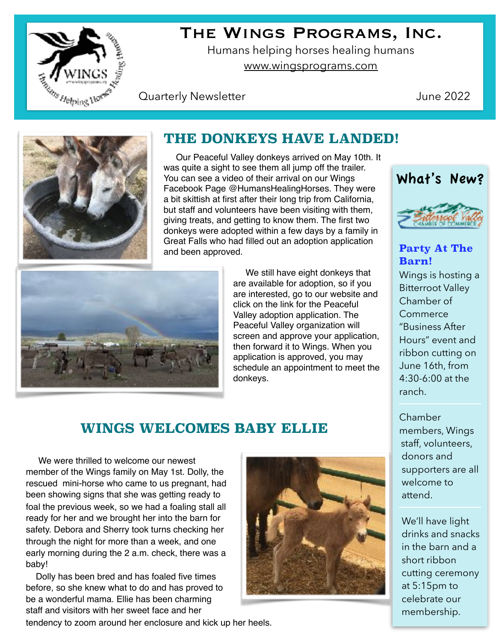

# The Wings Programs, Inc.

Humans helping horses healing humans [www.wingsprograms.com](http://www.wingsprograms.com)

#### **Quarterly Newsletter Contract Contract Contract Contract Contract Contract Contract Contract Contract Contract Contract Contract Contract Contract Contract Contract Contract Contract Contract Contract Contract Contract Co**



### **THE DONKEYS HAVE LANDED!**

 Our Peaceful Valley donkeys arrived on May 10th. It was quite a sight to see them all jump off the trailer. You can see a video of their arrival on our Wings Facebook Page @HumansHealingHorses. They were a bit skittish at first after their long trip from California, but staff and volunteers have been visiting with them, giving treats, and getting to know them. The first two donkeys were adopted within a few days by a family in Great Falls who had filled out an adoption application and been approved.



 We still have eight donkeys that are available for adoption, so if you are interested, go to our website and click on the link for the Peaceful Valley adoption application. The Peaceful Valley organization will screen and approve your application, then forward it to Wings. When you application is approved, you may schedule an appointment to meet the donkeys.



#### **Party At The Barn!**

Wings is hosting a Bitterroot Valley Chamber of **Commerce** "Business After Hours" event and ribbon cutting on June 16th, from 4:30-6:00 at the ranch.

## **WINGS WELCOMES BABY ELLIE**

 We were thrilled to welcome our newest member of the Wings family on May 1st. Dolly, the rescued mini-horse who came to us pregnant, had been showing signs that she was getting ready to foal the previous week, so we had a foaling stall all ready for her and we brought her into the barn for safety. Debora and Sherry took turns checking her through the night for more than a week, and one early morning during the 2 a.m. check, there was a baby!

 Dolly has been bred and has foaled five times before, so she knew what to do and has proved to be a wonderful mama. Ellie has been charming staff and visitors with her sweet face and her

tendency to zoom around her enclosure and kick up her heels.



Chamber members, Wings staff, volunteers, donors and supporters are all welcome to attend.

We'll have light drinks and snacks in the barn and a short ribbon cutting ceremony at 5:15pm to celebrate our membership.